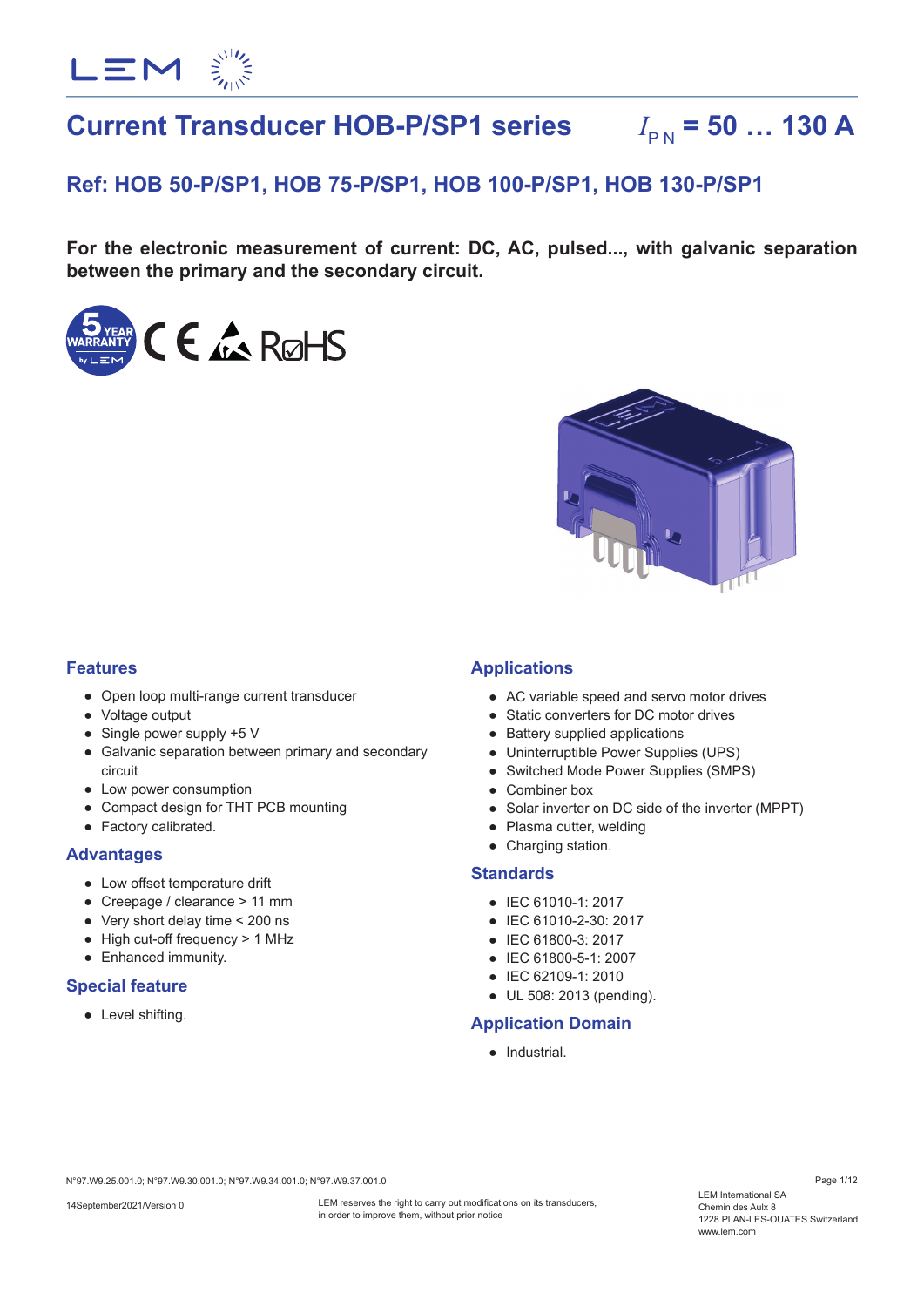

# **Current Transducer HOB-P/SP1 series**  $I_{\text{BM}} = 50$  ... 130 A

# **Ref: HOB 50-P/SP1, HOB 75-P/SP1, HOB 100-P/SP1, HOB 130-P/SP1**

**For the electronic measurement of current: DC, AC, pulsed..., with galvanic separation between the primary and the secondary circuit.**





## **Features**

- Open loop multi-range current transducer
- Voltage output
- Single power supply +5 V
- Galvanic separation between primary and secondary circuit
- Low power consumption
- Compact design for THT PCB mounting
- Factory calibrated.

## **Advantages**

- Low offset temperature drift
- Creepage / clearance > 11 mm
- Very short delay time < 200 ns
- High cut-off frequency > 1 MHz
- Enhanced immunity.

## **Special feature**

● Level shifting.

## **Applications**

- AC variable speed and servo motor drives
- Static converters for DC motor drives
- Battery supplied applications
- Uninterruptible Power Supplies (UPS)
- Switched Mode Power Supplies (SMPS)
- Combiner box
- Solar inverter on DC side of the inverter (MPPT)
- Plasma cutter, welding
- Charging station.

## **Standards**

- IEC 61010-1: 2017
- IEC 61010-2-30: 2017
- IEC 61800-3: 2017
- IEC 61800-5-1: 2007
- IEC 62109-1: 2010
- UL 508: 2013 (pending).

## **Application Domain**

● Industrial.

N°97.W9.25.001.0; N°97.W9.30.001.0; N°97.W9.34.001.0; N°97.W9.37.001.0

LEM reserves the right to carry out modifications on its transducers. in order to improve them, without prior notice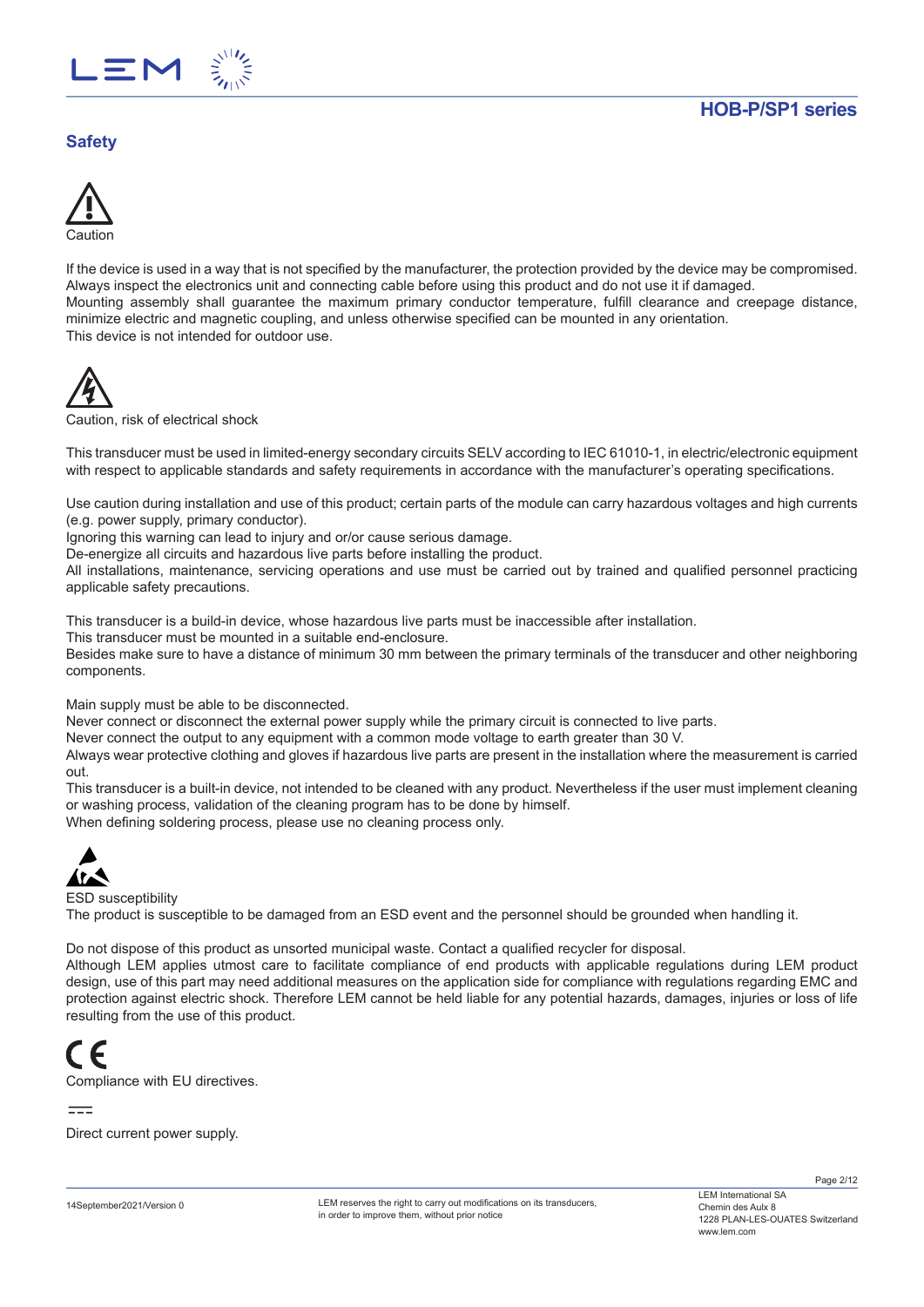

# **Safety**



If the device is used in a way that is not specified by the manufacturer, the protection provided by the device may be compromised. Always inspect the electronics unit and connecting cable before using this product and do not use it if damaged. Mounting assembly shall guarantee the maximum primary conductor temperature, fulfill clearance and creepage distance, minimize electric and magnetic coupling, and unless otherwise specified can be mounted in any orientation. This device is not intended for outdoor use.



Caution, risk of electrical shock

This transducer must be used in limited-energy secondary circuits SELV according to IEC 61010-1, in electric/electronic equipment with respect to applicable standards and safety requirements in accordance with the manufacturer's operating specifications.

Use caution during installation and use of this product; certain parts of the module can carry hazardous voltages and high currents (e.g. power supply, primary conductor).

Ignoring this warning can lead to injury and or/or cause serious damage.

De-energize all circuits and hazardous live parts before installing the product.

All installations, maintenance, servicing operations and use must be carried out by trained and qualified personnel practicing applicable safety precautions.

This transducer is a build-in device, whose hazardous live parts must be inaccessible after installation.

This transducer must be mounted in a suitable end-enclosure.

Besides make sure to have a distance of minimum 30 mm between the primary terminals of the transducer and other neighboring components.

Main supply must be able to be disconnected.

Never connect or disconnect the external power supply while the primary circuit is connected to live parts.

Never connect the output to any equipment with a common mode voltage to earth greater than 30 V.

Always wear protective clothing and gloves if hazardous live parts are present in the installation where the measurement is carried out.

This transducer is a built-in device, not intended to be cleaned with any product. Nevertheless if the user must implement cleaning or washing process, validation of the cleaning program has to be done by himself.

When defining soldering process, please use no cleaning process only.



ESD susceptibility

The product is susceptible to be damaged from an ESD event and the personnel should be grounded when handling it.

Do not dispose of this product as unsorted municipal waste. Contact a qualified recycler for disposal.

Although LEM applies utmost care to facilitate compliance of end products with applicable regulations during LEM product design, use of this part may need additional measures on the application side for compliance with regulations regarding EMC and protection against electric shock. Therefore LEM cannot be held liable for any potential hazards, damages, injuries or loss of life resulting from the use of this product.



Compliance with EU directives.

 $=$ 

Direct current power supply.

LEM reserves the right to carry out modifications on its transducers. in order to improve them, without prior notice

Page 2/12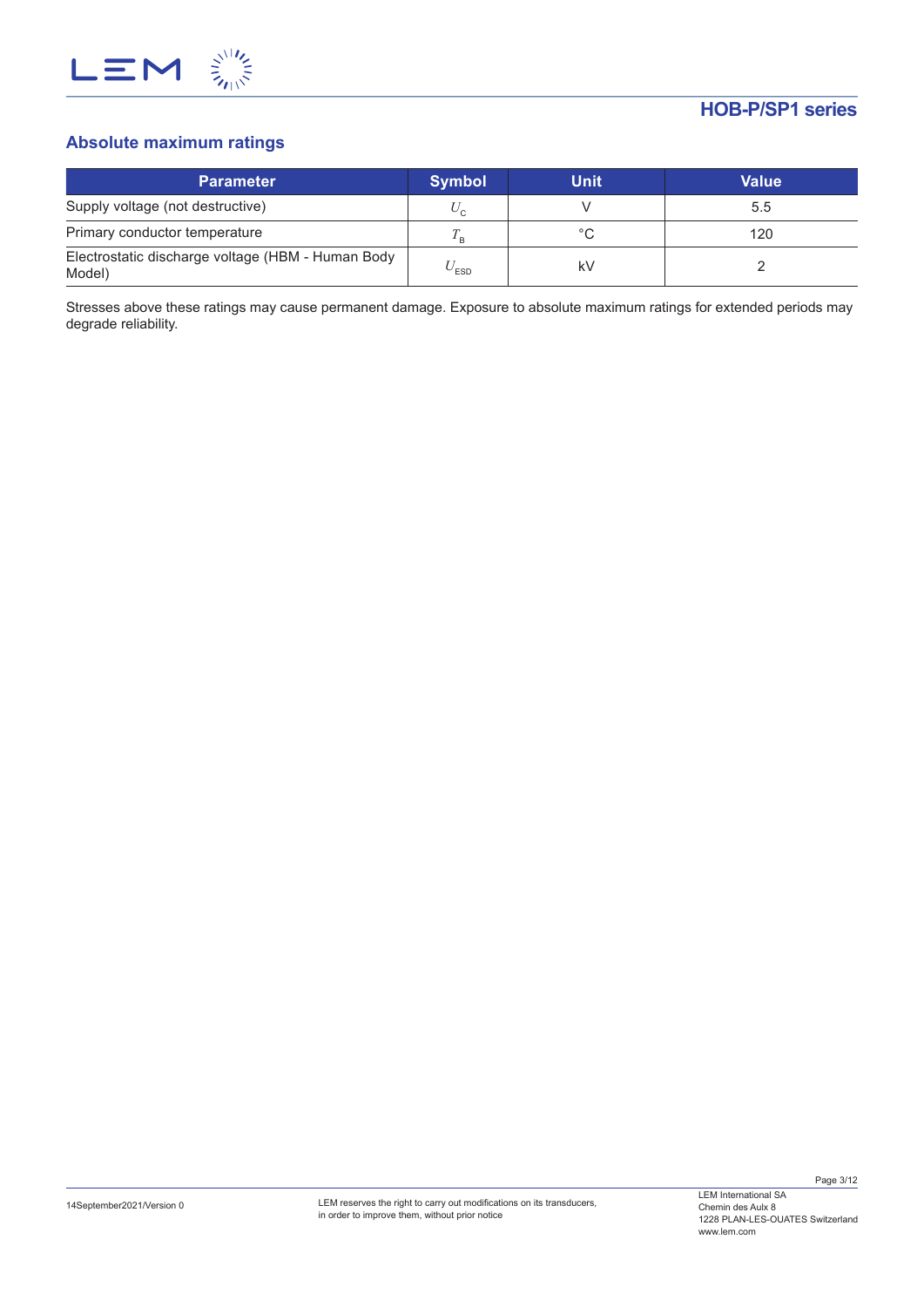

# **Absolute maximum ratings**

| <b>Parameter</b>                                            | <b>Symbol</b>             | <b>Unit</b> | Value |
|-------------------------------------------------------------|---------------------------|-------------|-------|
| Supply voltage (not destructive)                            | $U_{\alpha}$              |             | 5.5   |
| Primary conductor temperature                               |                           | °C          | 120   |
| Electrostatic discharge voltage (HBM - Human Body<br>Model) | $\mathrm{v}_\textrm{ESD}$ | k٧          |       |

Stresses above these ratings may cause permanent damage. Exposure to absolute maximum ratings for extended periods may degrade reliability.

Page 3/12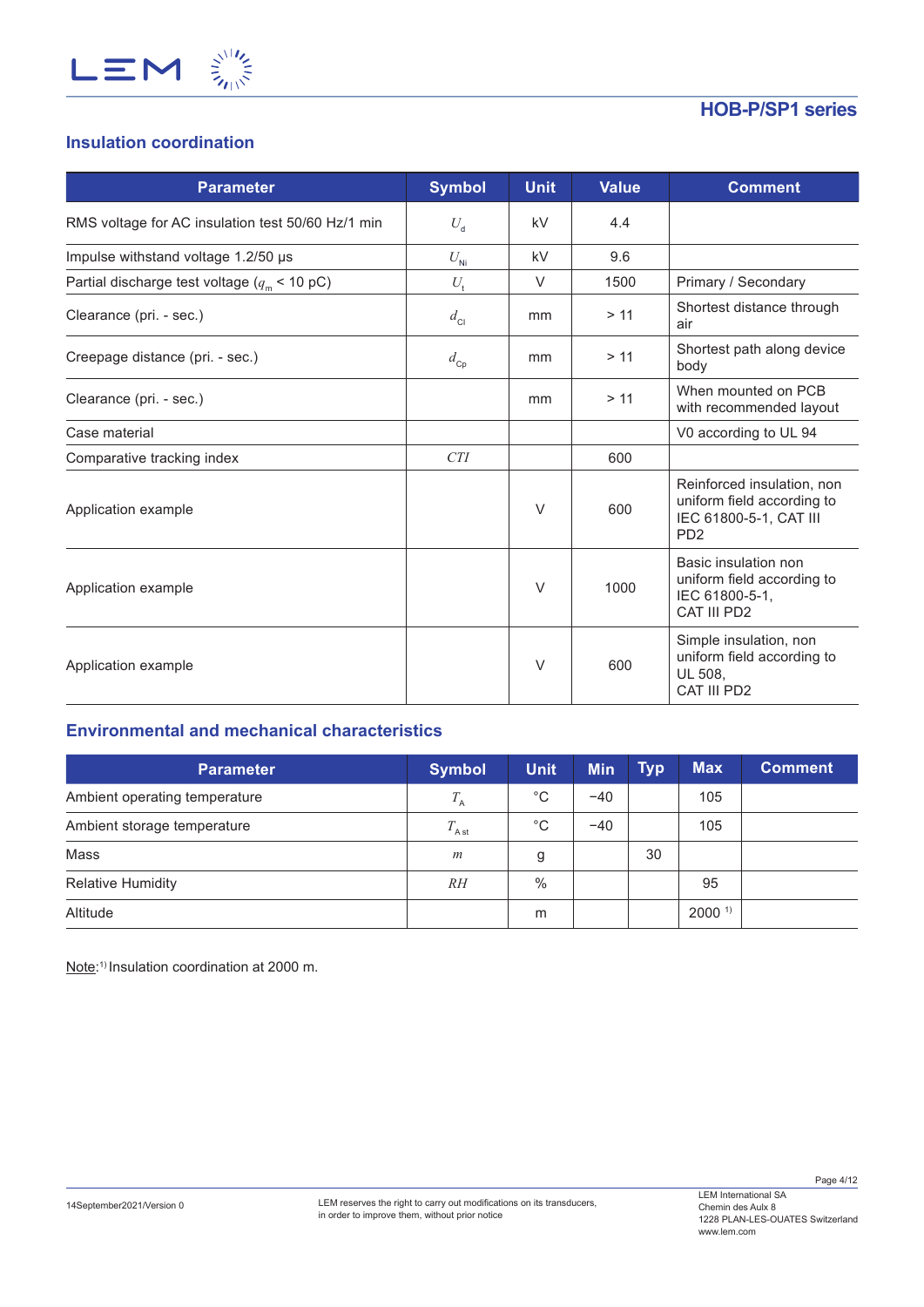

# **Insulation coordination**

| <b>Parameter</b>                                      | <b>Symbol</b> | <b>Unit</b> | <b>Value</b> | <b>Comment</b>                                                                                                    |
|-------------------------------------------------------|---------------|-------------|--------------|-------------------------------------------------------------------------------------------------------------------|
| RMS voltage for AC insulation test 50/60 Hz/1 min     | $U_{\rm d}$   | kV          | 4.4          |                                                                                                                   |
| Impulse withstand voltage 1.2/50 µs                   | $U_{\rm Ni}$  | kV          | 9.6          |                                                                                                                   |
| Partial discharge test voltage ( $q_{\rm m}$ < 10 pC) | $U_{\rm t}$   | $\vee$      | 1500         | Primary / Secondary                                                                                               |
| Clearance (pri. - sec.)                               | $d_{\rm Cl}$  | mm          | > 11         | Shortest distance through<br>air                                                                                  |
| Creepage distance (pri. - sec.)                       | $d_{\rm cp}$  | mm          | > 11         | Shortest path along device<br>body                                                                                |
| Clearance (pri. - sec.)                               |               | mm          | > 11         | When mounted on PCB<br>with recommended layout                                                                    |
| Case material                                         |               |             |              | V0 according to UL 94                                                                                             |
| Comparative tracking index                            | CTI           |             | 600          |                                                                                                                   |
| Application example                                   |               | V           | 600          | Reinforced insulation, non<br>uniform field according to<br>IEC 61800-5-1, CAT III<br>P <sub>D</sub> <sub>2</sub> |
| Application example                                   |               | $\vee$      | 1000         | Basic insulation non<br>uniform field according to<br>IEC 61800-5-1.<br>CAT III PD2                               |
| Application example                                   |               | $\vee$      | 600          | Simple insulation, non<br>uniform field according to<br>UL 508,<br>CAT III PD2                                    |

# **Environmental and mechanical characteristics**

| <b>Parameter</b>              | <b>Symbol</b>    | Unit          | <b>Min</b> | <b>Typ</b> | <b>Max</b>        | <b>Comment</b> |
|-------------------------------|------------------|---------------|------------|------------|-------------------|----------------|
| Ambient operating temperature | $T_{\rm A}$      | $^{\circ}$ C  | $-40$      |            | 105               |                |
| Ambient storage temperature   | $T_{\rm Ast}$    | $^{\circ}$ C  | $-40$      |            | 105               |                |
| Mass                          | $\boldsymbol{m}$ | g             |            | 30         |                   |                |
| <b>Relative Humidity</b>      | RH               | $\frac{0}{0}$ |            |            | 95                |                |
| Altitude                      |                  | m             |            |            | 2000 <sup>1</sup> |                |

Note: 1) Insulation coordination at 2000 m.

Page 4/12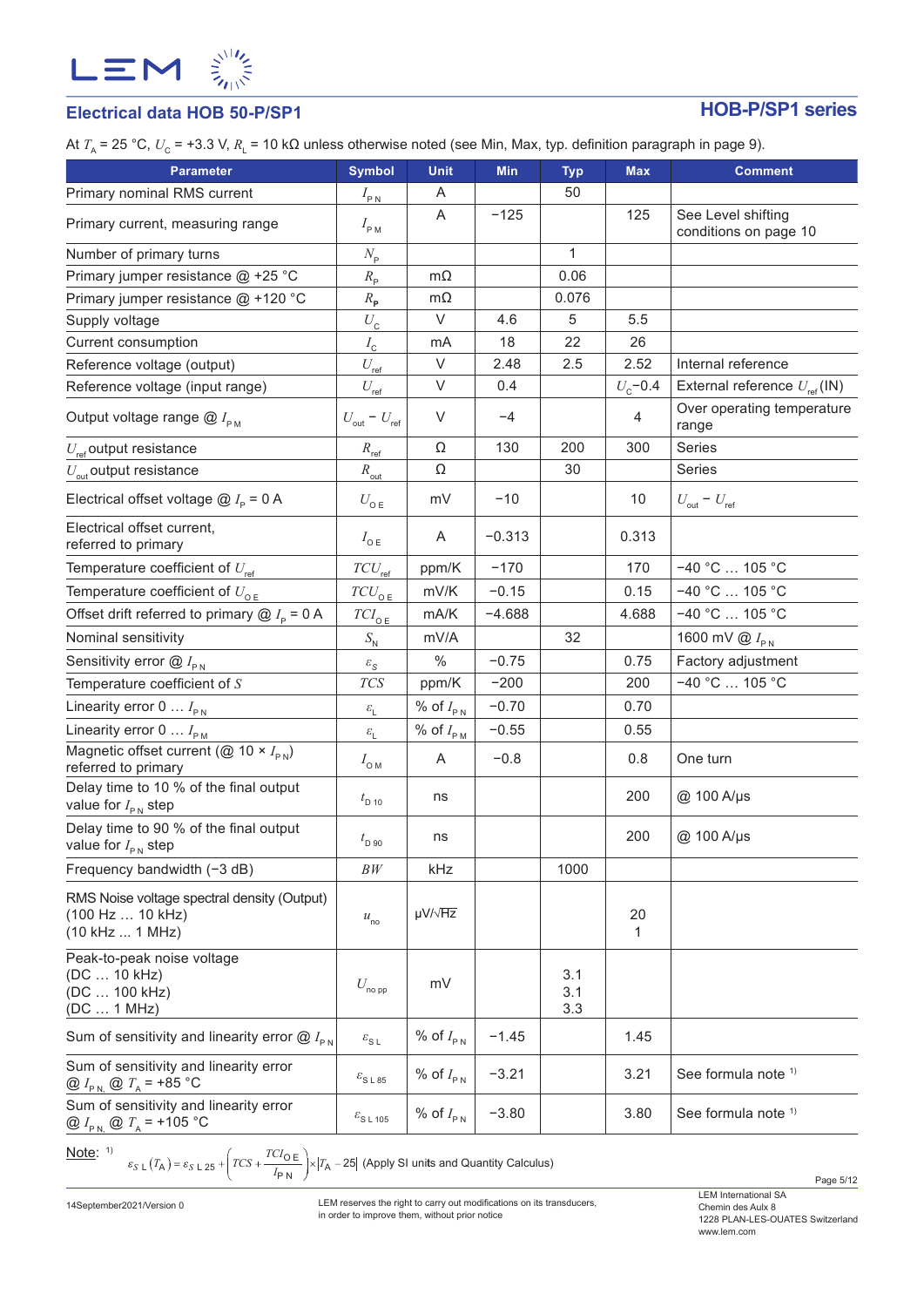

# **Electrical data HOB 50-P/SP1 HOB-P/SP1 series**

At *T*<sub>A</sub> = 25 °C, *U*<sub>C</sub> = +3.3 V, *R*<sub>L</sub> = 10 kΩ unless otherwise noted (see Min, Max, typ. definition paragraph in page 9).

| <b>Parameter</b>                                                                       | <b>Symbol</b>                       | <b>Unit</b>            | <b>Min</b> | <b>Typ</b>        | <b>Max</b>   | <b>Comment</b>                                 |
|----------------------------------------------------------------------------------------|-------------------------------------|------------------------|------------|-------------------|--------------|------------------------------------------------|
| Primary nominal RMS current                                                            | $I_{\rm PN}$                        | Α                      |            | 50                |              |                                                |
| Primary current, measuring range                                                       | $I_{\rm PM}$                        | A                      | $-125$     |                   | 125          | See Level shifting<br>conditions on page 10    |
| Number of primary turns                                                                | $N_{\rm p}$                         |                        |            | 1                 |              |                                                |
| Primary jumper resistance @ +25 °C                                                     | $R_{\rm p}$                         | $m\Omega$              |            | 0.06              |              |                                                |
| Primary jumper resistance @ +120 °C                                                    | $R_{\rm p}$                         | $m\Omega$              |            | 0.076             |              |                                                |
| Supply voltage                                                                         | $U_{\rm{c}}$                        | $\vee$                 | 4.6        | 5                 | 5.5          |                                                |
| Current consumption                                                                    | $I_{\rm c}$                         | mA                     | 18         | 22                | 26           |                                                |
| Reference voltage (output)                                                             | $U_{\rm ref}$                       | $\vee$                 | 2.48       | 2.5               | 2.52         | Internal reference                             |
| Reference voltage (input range)                                                        | $U_{\rm ref}$                       | $\vee$                 | 0.4        |                   | $U_{c}$ -0.4 | External reference $U_{\text{ref}}(\text{IN})$ |
| Output voltage range $@I_{\rho_M}$                                                     | $U_{\text{out}}$ – $U_{\text{ref}}$ | $\vee$                 | $-4$       |                   | 4            | Over operating temperature<br>range            |
| $U_{\text{ref}}$ output resistance                                                     | $R_{\text{ref}}$                    | Ω                      | 130        | 200               | 300          | Series                                         |
| $U_{\text{out}}$ output resistance                                                     | $R_{\text{out}}$                    | Ω                      |            | 30                |              | Series                                         |
| Electrical offset voltage $\textcircled{a}$ $I_{\text{p}}$ = 0 A                       | $U_{\mathsf{o}\mathsf{E}}$          | mV                     | $-10$      |                   | 10           | $U_{\text{out}} - U_{\text{ref}}$              |
| Electrical offset current,<br>referred to primary                                      | $I_{\circ E}$                       | A                      | $-0.313$   |                   | 0.313        |                                                |
| Temperature coefficient of $U_{\text{ref}}$                                            | $TCU_{\rm ref}$                     | ppm/K                  | $-170$     |                   | 170          | $-40 °C$ 105 °C                                |
| Temperature coefficient of $U_{\text{oE}}$                                             | $TCU_{\texttt{OE}}$                 | mV/K                   | $-0.15$    |                   | 0.15         | $-40 °C$ 105 °C                                |
| Offset drift referred to primary $@I_{p} = 0 A$                                        | $TCI_{\texttt{OE}}$                 | mA/K                   | $-4.688$   |                   | 4.688        | $-40 °C$ 105 °C                                |
| Nominal sensitivity                                                                    | $S_{\rm N}$                         | mV/A                   |            | 32                |              | 1600 mV $\bigotimes I_{\text{PN}}$             |
| Sensitivity error $@I_{\rho_N}$                                                        | $\varepsilon_{\rm S}$               | $\%$                   | $-0.75$    |                   | 0.75         | Factory adjustment                             |
| Temperature coefficient of $S$                                                         | <b>TCS</b>                          | ppm/K                  | $-200$     |                   | 200          | $-40 °C$ 105 °C                                |
| Linearity error $0 \ldots I_{PN}$                                                      | $\mathcal{E}_{\mathrm{L}}$          | % of $I_{\texttt{PN}}$ | $-0.70$    |                   | 0.70         |                                                |
| Linearity error $0 \ldots I_{\text{PM}}$                                               | $\varepsilon_{\rm L}$               | % of $I_{P.M.}$        | $-0.55$    |                   | 0.55         |                                                |
| Magnetic offset current (@ 10 $\times$ $I_{\text{PN}}$ )<br>referred to primary        | $I_{\text{OM}}$                     | A                      | $-0.8$     |                   | 0.8          | One turn                                       |
| Delay time to 10 % of the final output<br>value for $I_{\text{PN}}$ step               | $t_{\rm D 10}$                      | ns                     |            |                   | 200          | @ 100 A/µs                                     |
| Delay time to 90 % of the final output<br>value for $I_{\text{PN}}$ step               | $t_{\rm D,90}$                      | ns                     |            |                   | 200          | @ 100 A/µs                                     |
| Frequency bandwidth $(-3 dB)$                                                          | BW                                  | kHz                    |            | 1000              |              |                                                |
| RMS Noise voltage spectral density (Output)<br>(100 Hz  10 kHz)<br>(10 kHz  1 MHz)     | $u_{\rm no}$                        | $\mu V / \sqrt{Hz}$    |            |                   | 20<br>1      |                                                |
| Peak-to-peak noise voltage<br>(DC  10 kHz)<br>(DC  100 kHz)<br>(DC  1 MHz)             | $U_{\sf no\, pp}$                   | mV                     |            | 3.1<br>3.1<br>3.3 |              |                                                |
| Sum of sensitivity and linearity error $@I_{\text{PN}}$                                | $\varepsilon_{\text{S L}}$          | % of $I_{PN}$          | $-1.45$    |                   | 1.45         |                                                |
| Sum of sensitivity and linearity error<br>@ $I_{P N}$ @ $T_A$ = +85 °C                 | $\varepsilon$ <sub>SL85</sub>       | % of $I_{PN}$          | $-3.21$    |                   | 3.21         | See formula note <sup>1)</sup>                 |
| Sum of sensitivity and linearity error<br>@ $I_{\text{PN}}$ @ $T_{\text{A}}$ = +105 °C | $\varepsilon$ <sub>SL 105</sub>     | % of $I_{PN}$          | $-3.80$    |                   | 3.80         | See formula note 1)                            |

Note: 1)

 $S \text{ } L\left(T_{\mathsf{A}}\right) = \varepsilon_{S\text{ }L\text{ }25} + \left(TCS + \frac{TCI_{\mathsf{O}}}{I_{\mathsf{P}}\text{ }N}\right) \times \left|T_{\mathsf{A}} - 25\right|$  (Apply SI units and Quantity Calculus)

14September2021/Version 0

LEM reserves the right to carry out modifications on its transducers, in order to improve them, without prior notice

LEM International SA Chemin des Aulx 8 1228 PLAN-LES-OUATES Switzerland www.lem.com

Page 5/12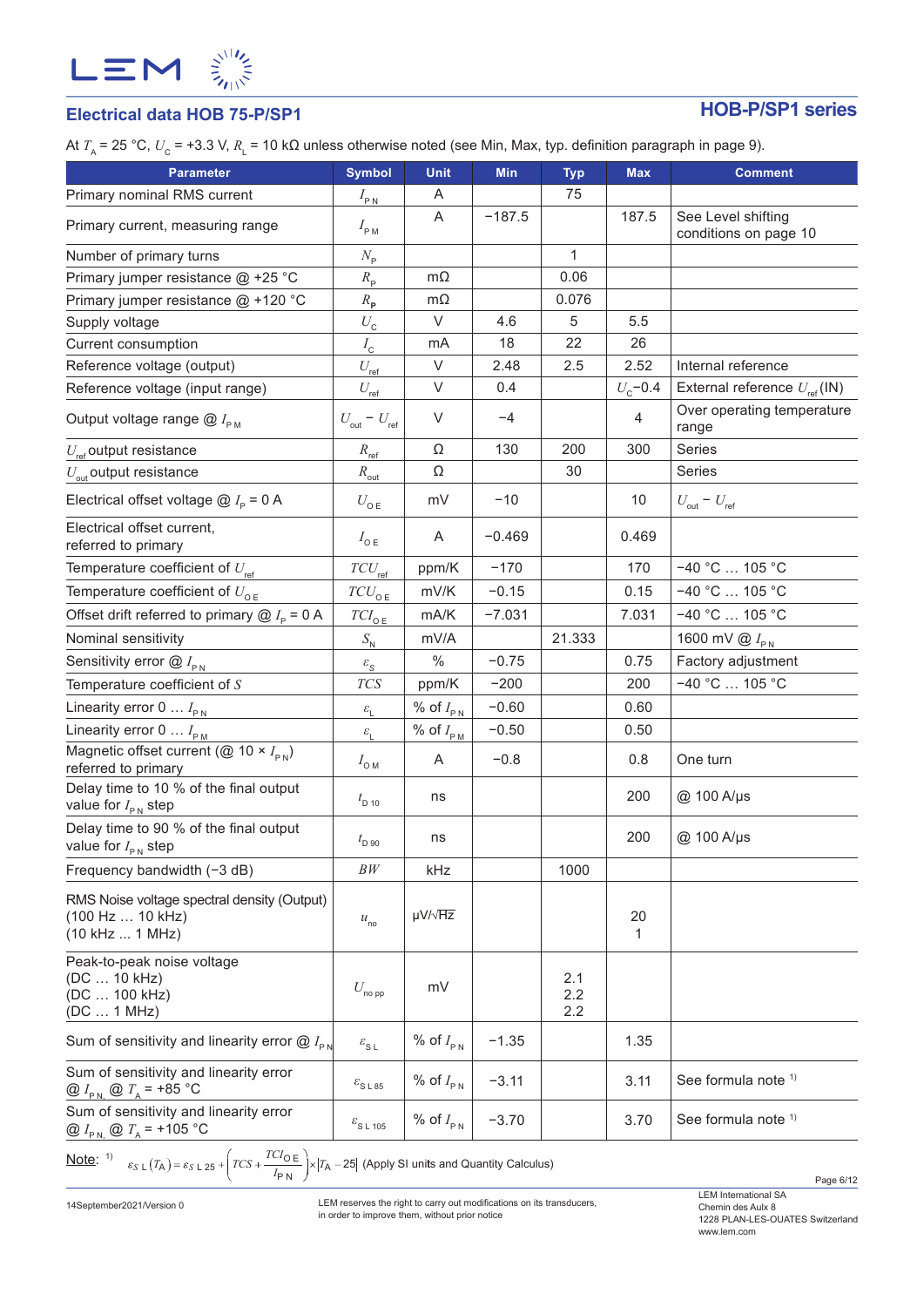

# **Electrical data HOB 75-P/SP1 HOB-P/SP1 series**

At *T*<sub>A</sub> = 25 °C,  $U_{\rm C}$  = +3.3 V,  $R_{\rm L}$  = 10 kΩ unless otherwise noted (see Min, Max, typ. definition paragraph in page 9).

| <b>Parameter</b>                                                                       | <b>Symbol</b>                                   | <b>Unit</b>                         | <b>Min</b> | <b>Typ</b>        | <b>Max</b>       | <b>Comment</b>                                 |
|----------------------------------------------------------------------------------------|-------------------------------------------------|-------------------------------------|------------|-------------------|------------------|------------------------------------------------|
| Primary nominal RMS current                                                            | $I_{\rm PN}$                                    | A                                   |            | 75                |                  |                                                |
| Primary current, measuring range                                                       | $I_{\rm PM}$                                    | A                                   | $-187.5$   |                   | 187.5            | See Level shifting<br>conditions on page 10    |
| Number of primary turns                                                                | $N_{\rm p}$                                     |                                     |            | $\mathbf{1}$      |                  |                                                |
| Primary jumper resistance @ +25 °C                                                     | $R_{\rm p}$                                     | $m\Omega$                           |            | 0.06              |                  |                                                |
| Primary jumper resistance @ +120 °C                                                    | $R_{\rm p}$                                     | $m\Omega$                           |            | 0.076             |                  |                                                |
| Supply voltage                                                                         | $U_{\tt C}$                                     | $\vee$                              | 4.6        | 5                 | 5.5              |                                                |
| Current consumption                                                                    | $I_{\rm c}$                                     | mA                                  | 18         | 22                | 26               |                                                |
| Reference voltage (output)                                                             | $U_{\rm ref}$                                   | $\vee$                              | 2.48       | 2.5               | 2.52             | Internal reference                             |
| Reference voltage (input range)                                                        | $U_{\text{ref}}$                                | $\vee$                              | 0.4        |                   | $U_{\rm c}$ -0.4 | External reference $U_{\text{ref}}(\text{IN})$ |
| Output voltage range $@I_{\rho_M}$                                                     | $U_{\mathrm{out}}$ – $\,U_{\mathrm{ref}}$       | $\vee$                              | $-4$       |                   | 4                | Over operating temperature<br>range            |
| $U_{\text{ref}}$ output resistance                                                     | $R_{\text{ref}}$                                | Ω                                   | 130        | 200               | 300              | Series                                         |
| $U_{\text{out}}$ output resistance                                                     | $R_{\text{out}}$                                | Ω                                   |            | 30                |                  | Series                                         |
| Electrical offset voltage $\omega I_{\rm p}$ = 0 A                                     | $U_{\mathsf{o}\mathsf{E}}$                      | mV                                  | $-10$      |                   | 10               | $U_{\text{out}} - U_{\text{ref}}$              |
| Electrical offset current,<br>referred to primary                                      | $I_{\circ E}$                                   | Α                                   | $-0.469$   |                   | 0.469            |                                                |
| Temperature coefficient of $U_{ref}$                                                   | $TCU_{\rm ref}$                                 | ppm/K                               | $-170$     |                   | 170              | $-40 °C$ 105 °C                                |
| Temperature coefficient of $U_{\text{oE}}$                                             | $TCU_{0E}$                                      | mV/K                                | $-0.15$    |                   | 0.15             | $-40 °C$ 105 °C                                |
| Offset drift referred to primary $@I_{p} = 0 A$                                        | ${\mathit{TCI}}_{{\mathsf{O}} \, {\mathsf{E}}}$ | mA/K                                | $-7.031$   |                   | 7.031            | $-40 °C$ 105 °C                                |
| Nominal sensitivity                                                                    | $S_{N}$                                         | mV/A                                |            | 21.333            |                  | 1600 mV $\bigotimes I_{\rho_N}$                |
| Sensitivity error $@I_{\text{PN}}$                                                     | $\varepsilon_{\rm S}$                           | $\%$                                | $-0.75$    |                   | 0.75             | Factory adjustment                             |
| Temperature coefficient of $S$                                                         | $T\!C\!S$                                       | ppm/K                               | $-200$     |                   | 200              | $-40 °C$ 105 °C                                |
| Linearity error 0 $I_{\text{PN}}$                                                      | $\mathcal{E}_{\rm L}$                           | % of $I_{\scriptscriptstyle\rm PN}$ | $-0.60$    |                   | 0.60             |                                                |
| Linearity error $0 \ldots I_{\text{PM}}$                                               | $\mathcal{E}_{\mathrm{L}}$                      | % of $I_{\text{PM}}$                | $-0.50$    |                   | 0.50             |                                                |
| Magnetic offset current ( $\overline{Q}$ 10 × $I_{\text{pN}}$ )<br>referred to primary | $I_{\text{OM}}$                                 | Α                                   | $-0.8$     |                   | 0.8              | One turn                                       |
| Delay time to 10 % of the final output<br>value for $I_{\text{PN}}$ step               | $t_{\rm D\ 10}$                                 | ns                                  |            |                   | 200              | @ 100 A/µs                                     |
| Delay time to 90 % of the final output<br>value for $I_{\text{PN}}$ step               | $t_{\rm D,90}$                                  | ns                                  |            |                   | 200              | @ 100 A/µs                                     |
| Frequency bandwidth $(-3 dB)$                                                          | BW                                              | kHz                                 |            | 1000              |                  |                                                |
| RMS Noise voltage spectral density (Output)<br>(100 Hz  10 kHz)<br>(10 kHz  1 MHz)     | $u_{\rm no}$                                    | $\mu V / \sqrt{Hz}$                 |            |                   | 20<br>1          |                                                |
| Peak-to-peak noise voltage<br>(DC  10 kHz)<br>(DC  100 kHz)<br>(DC  1 MHz)             | $U_{\sf no\, pp}$                               | mV                                  |            | 2.1<br>2.2<br>2.2 |                  |                                                |
| Sum of sensitivity and linearity error $@I_{\rho_N}$                                   | $\varepsilon_{\rm SL}$                          | % of $I_{PN}$                       | $-1.35$    |                   | 1.35             |                                                |
| Sum of sensitivity and linearity error<br>@ $I_{\text{PN}}$ @ $T_{\text{A}}$ = +85 °C  | $\varepsilon_{\rm S\,L\,85}$                    | % of $I_{PN}$                       | $-3.11$    |                   | 3.11             | See formula note 1)                            |
| Sum of sensitivity and linearity error<br>$Q I_{P N} Q T_A = +105 °C$                  | $\varepsilon$ <sub>SL 105</sub>                 | % of $I_{PN}$                       | $-3.70$    |                   | 3.70             | See formula note 1)                            |
|                                                                                        |                                                 |                                     |            |                   |                  |                                                |

<u>Note</u>: <sup>1)</sup>  $\varepsilon_{S \text{ L}}(T_{\text{A}}) = \varepsilon_{S \text{ L}} 25 + \left( TCS + \frac{TCI_{\text{O E}}}{I_{\text{P N}}}\right) \times |T_{\text{A}} - 25|$  (Apply SI units and Quantity Calculus)

Page 6/12

14September2021/Version 0

LEM reserves the right to carry out modifications on its transducers, in order to improve them, without prior notice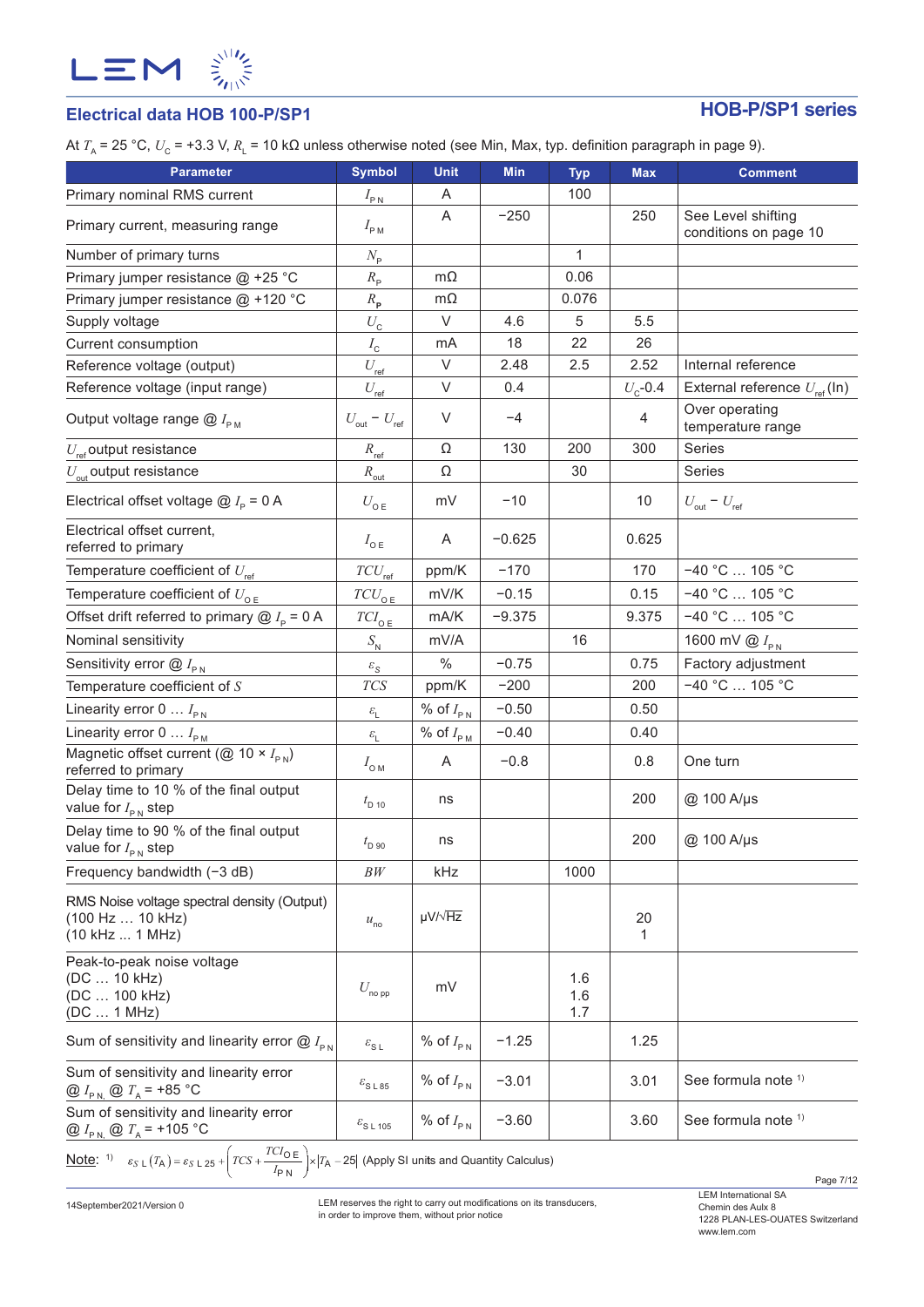

# **Electrical data HOB 100-P/SP1 HOB-P/SP1 series**

At *T*<sub>A</sub> = 25 °C,  $U_{\rm C}$  = +3.3 V,  $R_{\rm L}$  = 10 kΩ unless otherwise noted (see Min, Max, typ. definition paragraph in page 9).

| <b>Parameter</b><br>Primary nominal RMS current                                        | <b>Symbol</b>                     | <b>Unit</b><br>A                     | <b>Min</b> | <b>Typ</b><br>100 | <b>Max</b>       | <b>Comment</b>                                 |
|----------------------------------------------------------------------------------------|-----------------------------------|--------------------------------------|------------|-------------------|------------------|------------------------------------------------|
|                                                                                        | $I_{\rm PN}$                      | A                                    | $-250$     |                   | 250              | See Level shifting                             |
| Primary current, measuring range                                                       | $I_{\rm PM}$                      |                                      |            |                   |                  | conditions on page 10                          |
| Number of primary turns                                                                | $N_{\rm p}$                       |                                      |            | $\mathbf{1}$      |                  |                                                |
| Primary jumper resistance @ +25 °C                                                     | $R_{\rm p}$                       | $m\Omega$                            |            | 0.06              |                  |                                                |
| Primary jumper resistance @ +120 °C                                                    | $R_{\rm p}$                       | $m\Omega$                            |            | 0.076             |                  |                                                |
| Supply voltage                                                                         | $U_{\tt C}$                       | $\vee$                               | 4.6        | 5                 | 5.5              |                                                |
| Current consumption                                                                    | $I_{\rm\scriptscriptstyle C}$     | mA                                   | 18         | 22                | 26               |                                                |
| Reference voltage (output)                                                             | $U_{\rm ref}$                     | $\vee$                               | 2.48       | 2.5               | 2.52             | Internal reference                             |
| Reference voltage (input range)                                                        | $U_{\text{ref}}$                  | V                                    | 0.4        |                   | $U_{\rm c}$ -0.4 | External reference $U_{\text{ref}}(\text{In})$ |
| Output voltage range $@I_{\rho_M}$                                                     | $U_{\text{out}} - U_{\text{ref}}$ | $\vee$                               | $-4$       |                   | 4                | Over operating<br>temperature range            |
| $U_{\text{ref}}$ output resistance                                                     | $R_{\text{ref}}$                  | Ω                                    | 130        | 200               | 300              | Series                                         |
| $U_{\text{out}}$ output resistance                                                     | $R_{\text{out}}$                  | Ω                                    |            | 30                |                  | Series                                         |
| Electrical offset voltage $\omega I_{\rm p}$ = 0 A                                     | $U_{\text{o E}}$                  | mV                                   | $-10$      |                   | 10               | $U_{\text{out}} - U_{\text{ref}}$              |
| Electrical offset current,<br>referred to primary                                      | $I_{\circ E}$                     | A                                    | $-0.625$   |                   | 0.625            |                                                |
| Temperature coefficient of $U_{\text{ref}}$                                            | $TCU_{\text{ref}}$                | ppm/K                                | $-170$     |                   | 170              | $-40 °C$ 105 °C                                |
| Temperature coefficient of $U_{\text{OE}}$                                             | $TCU_{\text{o E}}$                | mV/K                                 | $-0.15$    |                   | 0.15             | $-40 °C$ 105 °C                                |
| Offset drift referred to primary $@I_{p} = 0 A$                                        | ${\cal T}Cl_{\rm O\,E}$           | mA/K                                 | $-9.375$   |                   | 9.375            | $-40 °C$ 105 °C                                |
| Nominal sensitivity                                                                    | $S_{\rm N}$                       | mV/A                                 |            | 16                |                  | 1600 mV $\bigotimes I_{\text{PN}}$             |
| Sensitivity error $@I_{\rho_N}$                                                        | $\varepsilon_{\rm S}$             | $\%$                                 | $-0.75$    |                   | 0.75             | Factory adjustment                             |
| Temperature coefficient of $S$                                                         | TCS                               | ppm/K                                | $-200$     |                   | 200              | $-40 °C$ 105 °C                                |
| Linearity error 0 $I_{\text{PN}}$                                                      | $\mathcal{E}_{\mathsf{L}}$        | % of $I_{PN}$                        | $-0.50$    |                   | 0.50             |                                                |
| Linearity error $0 \ldots I_{\text{PM}}$                                               | $\varepsilon_{\rm L}$             | % of $I_{\scriptscriptstyle \sf PM}$ | $-0.40$    |                   | 0.40             |                                                |
| Magnetic offset current ( $\overline{Q}$ 10 × $I_{\text{PN}}$ )<br>referred to primary | $I_{\text{OM}}$                   | A                                    | $-0.8$     |                   | 0.8              | One turn                                       |
| Delay time to 10 % of the final output<br>value for $I_{\text{PN}}$ step               | $t_{\rm D 10}$                    | ns                                   |            |                   | 200              | @ 100 A/µs                                     |
| Delay time to 90 % of the final output<br>value for $I_{PN}$ step                      | $t_{\text{D 90}}$                 | ns                                   |            |                   | 200              | @ 100 A/µs                                     |
| Frequency bandwidth $(-3 dB)$                                                          | BW                                | kHz                                  |            | 1000              |                  |                                                |
| RMS Noise voltage spectral density (Output)<br>(100 Hz  10 kHz)<br>(10 kHz  1 MHz)     | $u_{\rm no}$                      | $\mu V / \sqrt{Hz}$                  |            |                   | 20<br>1          |                                                |
| Peak-to-peak noise voltage<br>(DC  10 kHz)<br>(DC  100 kHz)<br>(DC  1 MHz)             | $U_{\text{no pp}}$                | mV                                   |            | 1.6<br>1.6<br>1.7 |                  |                                                |
| Sum of sensitivity and linearity error $@I_{\text{PN}}$                                | $\varepsilon_{\text{S L}}$        | % of $I_{PN}$                        | $-1.25$    |                   | 1.25             |                                                |
| Sum of sensitivity and linearity error<br>@ $I_{\text{PN}}$ @ $T_{\text{A}}$ = +85 °C  | $\varepsilon_{\text{S L 85}}$     | % of $I_{PN}$                        | $-3.01$    |                   | 3.01             | See formula note 1)                            |
| Sum of sensitivity and linearity error<br>@ $I_{\text{PN}}$ @ $T_{\text{A}}$ = +105 °C | $\varepsilon_{\text{S L 105}}$    | % of $I_{PN}$                        | $-3.60$    |                   | 3.60             | See formula note 1)                            |
| $TCI_{\Omega}$ = $\setminus$                                                           |                                   |                                      |            |                   |                  |                                                |

<u>Note</u>: 1)  $\varepsilon_{S \text{ L}}(T_A) = \varepsilon_{S \text{ L}} 25 + \left( TCS + \frac{TCI_{\text{O E}}}{I_{\text{P N}}}\right) \times |T_A - 25|$  (Apply SI units and Quantity Calculus)

14September2021/Version 0

LEM reserves the right to carry out modifications on its transducers, in order to improve them, without prior notice

Page 7/12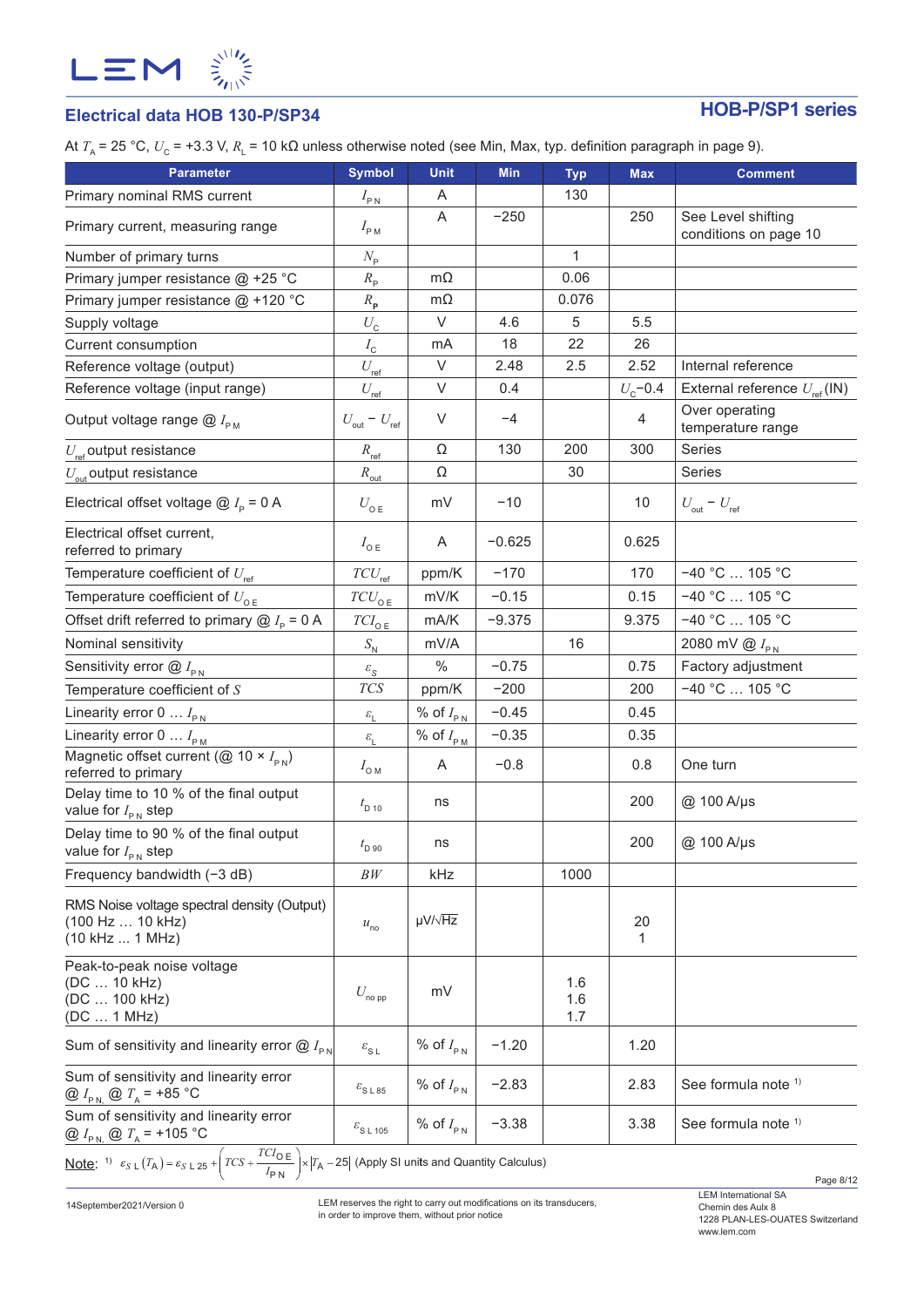

# **Electrical data HOB 130-P/SP34 HOB-P/SP1 series**

At *T*<sub>A</sub> = 25 °C,  $U_c$  = +3.3 V,  $R_1$  = 10 kΩ unless otherwise noted (see Min, Max, typ. definition paragraph in page 9).

| <b>Parameter</b>                                                                       | <b>Symbol</b>                     | <b>Unit</b>                           | <b>Min</b> | <b>Typ</b>        | <b>Max</b>       | <b>Comment</b>                                 |
|----------------------------------------------------------------------------------------|-----------------------------------|---------------------------------------|------------|-------------------|------------------|------------------------------------------------|
| Primary nominal RMS current                                                            | $I_{\rm PN}$                      | A                                     |            | 130               |                  |                                                |
| Primary current, measuring range                                                       | $I_{\rm PM}$                      | A                                     | $-250$     |                   | 250              | See Level shifting<br>conditions on page 10    |
| Number of primary turns                                                                | $N_{\rm p}$                       |                                       |            | $\mathbf{1}$      |                  |                                                |
| Primary jumper resistance @ +25 °C                                                     | $R_{\rm p}$                       | $m\Omega$                             |            | 0.06              |                  |                                                |
| Primary jumper resistance @ +120 °C                                                    | $R_{\rm p}$                       | $m\Omega$                             |            | 0.076             |                  |                                                |
| Supply voltage                                                                         | $U_{\rm C}$                       | V                                     | 4.6        | 5                 | 5.5              |                                                |
| Current consumption                                                                    | $I_{\rm c}$                       | mA                                    | 18         | 22                | 26               |                                                |
| Reference voltage (output)                                                             | $U_{\rm ref}$                     | $\vee$                                | 2.48       | 2.5               | 2.52             | Internal reference                             |
| Reference voltage (input range)                                                        | $U_{\text{ref}}$                  | $\vee$                                | 0.4        |                   | $U_{\rm c}$ -0.4 | External reference $U_{\text{ref}}(\text{IN})$ |
| Output voltage range $@I_{\rho_M}$                                                     | $U_{\text{out}} = U_{\text{ref}}$ | V                                     | $-4$       |                   | 4                | Over operating<br>temperature range            |
| $U_{\text{ref}}$ output resistance                                                     | $R_{\rm ref.}$                    | Ω                                     | 130        | 200               | 300              | Series                                         |
| $U_{\text{out}}$ output resistance                                                     | $R_{\rm out}$                     | Ω                                     |            | 30                |                  | Series                                         |
| Electrical offset voltage $@I_{\circ} = 0 A$                                           | $U_{\mathsf{o}\,\mathsf{E}}$      | mV                                    | $-10$      |                   | 10               | $U_{\text{out}} - U_{\text{ref}}$              |
| Electrical offset current,<br>referred to primary                                      | $I_{\circ E}$                     | A                                     | $-0.625$   |                   | 0.625            |                                                |
| Temperature coefficient of $U_{\text{ref}}$                                            | $TCU_{\text{ref}}$                | ppm/K                                 | $-170$     |                   | 170              | $-40 °C$ 105 °C                                |
| Temperature coefficient of $U_{\text{o}_E}$                                            | $TCU_{\texttt{OE}}$               | mV/K                                  | $-0.15$    |                   | 0.15             | $-40 °C$ 105 °C                                |
| Offset drift referred to primary $@I_{p} = 0 A$                                        | $TCI_{0E}$                        | mA/K                                  | $-9.375$   |                   | 9.375            | $-40 °C$ 105 °C                                |
| Nominal sensitivity                                                                    | $S_{\rm N}$                       | mV/A                                  |            | 16                |                  | 2080 mV $\bigotimes I_{\text{PN}}$             |
| Sensitivity error $@I_{\rho_N}$                                                        | $\varepsilon_{\rm S}$             | $\%$                                  | $-0.75$    |                   | 0.75             | Factory adjustment                             |
| Temperature coefficient of $S$                                                         | $TCS$                             | ppm/K                                 | $-200$     |                   | 200              | $-40 °C$ 105 °C                                |
| Linearity error $0 \ldots I_{\text{PN}}$                                               | $\mathcal{E}_{\mathrm{L}}$        | % of $I_{PN}$                         | $-0.45$    |                   | 0.45             |                                                |
| Linearity error $0 \ldots I_{\text{PM}}$                                               | $\mathcal{E}_{\rm L}$             | % of $I_{\scriptscriptstyle{\sf PM}}$ | $-0.35$    |                   | 0.35             |                                                |
| Magnetic offset current ( $\overline{Q}$ 10 × $I_{\text{pN}}$ )<br>referred to primary | $I_{\text{OM}}$                   | A                                     | $-0.8$     |                   | 0.8              | One turn                                       |
| Delay time to 10 % of the final output<br>value for $I_{\text{PN}}$ step               | $t_{\rm D\ 10}$                   | ns                                    |            |                   | 200              | @ 100 A/µs                                     |
| Delay time to 90 % of the final output<br>value for $I_{\text{PN}}$ step               | $t_{\rm D,90}$                    | ns                                    |            |                   | 200              | @ 100 A/µs                                     |
| Frequency bandwidth (-3 dB)                                                            | BW                                | kHz                                   |            | 1000              |                  |                                                |
| RMS Noise voltage spectral density (Output)<br>(100 Hz  10 kHz)<br>(10 kHz  1 MHz)     | $u_{\rm no}$                      | $\mu V / \sqrt{Hz}$                   |            |                   | 20<br>1          |                                                |
| Peak-to-peak noise voltage<br>(DC  10 kHz)<br>(DC  100 kHz)<br>(DC  1 MHz)             | $U_{\sf no\, pp}$                 | mV                                    |            | 1.6<br>1.6<br>1.7 |                  |                                                |
| Sum of sensitivity and linearity error $@I_{\text{PN}}$                                | $\varepsilon_{\text{S L}}$        | % of $I_{PN}$                         | $-1.20$    |                   | 1.20             |                                                |
| Sum of sensitivity and linearity error<br>@ $I_{P N}$ @ $T_A$ = +85 °C                 | $\varepsilon_{\text{S L 85}}$     | % of $I_{PN}$                         | $-2.83$    |                   | 2.83             | See formula note 1)                            |
| Sum of sensitivity and linearity error<br>@ $I_{P N}$ @ $T_A$ = +105 °C                | $\varepsilon$ <sub>SL 105</sub>   | % of $I_{PN}$                         | $-3.38$    |                   | 3.38             | See formula note 1)                            |
|                                                                                        |                                   |                                       |            |                   |                  |                                                |

<u>Note</u>: <sup>1)</sup>  $\varepsilon_{S \text{ L}}(T_A) = \varepsilon_{S \text{ L}} 25 + \left( TCS + \frac{TCI_{\text{O}} E}{I_{\text{P}} N} \right) \times |T_A - 25|$  (Apply SI units and Quantity Calculus)

14September2021/Version 0

LEM reserves the right to carry out modifications on its transducers, in order to improve them, without prior notice

Page 8/12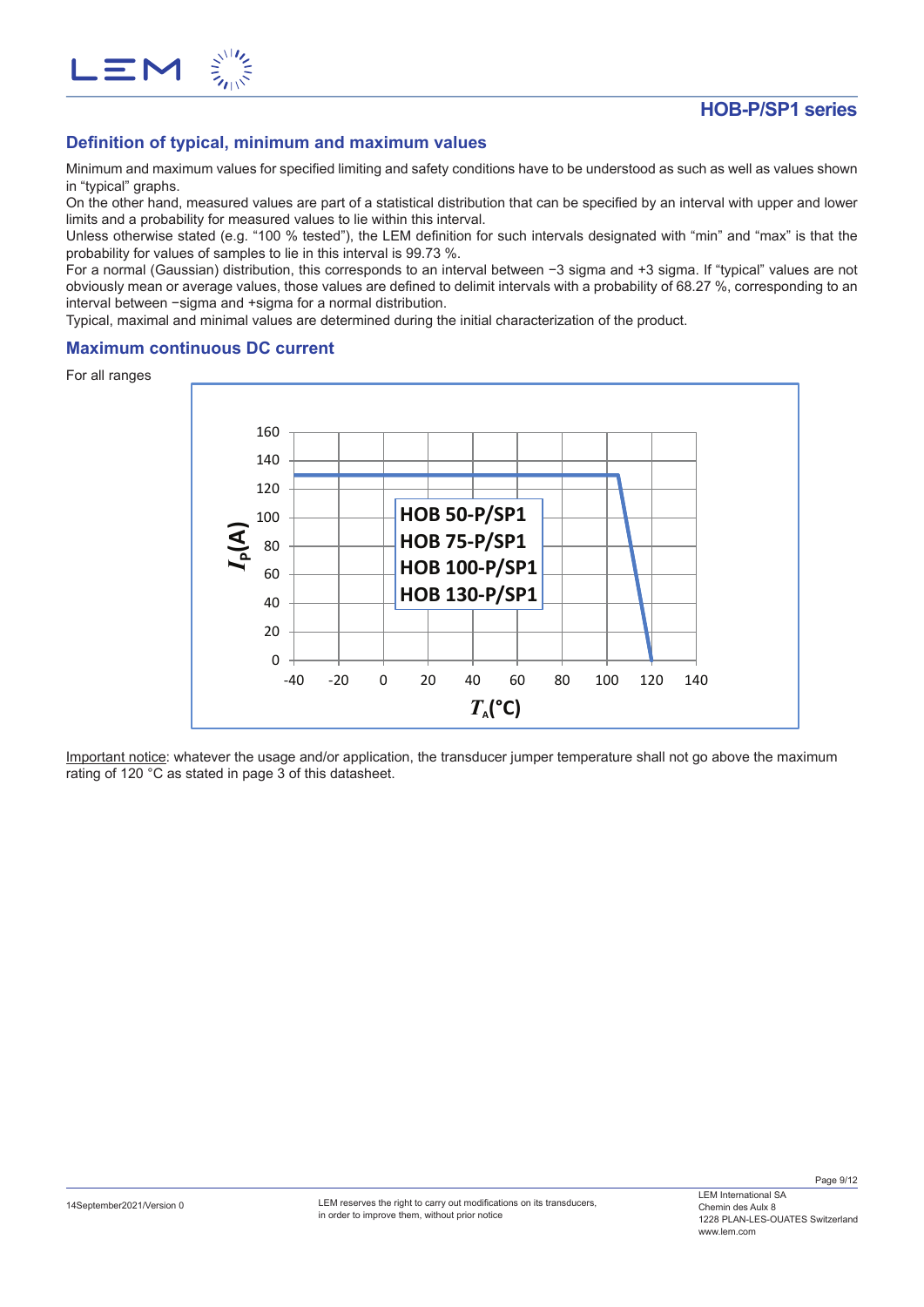

Minimum and maximum values for specified limiting and safety conditions have to be understood as such as well as values shown in "typical" graphs.

On the other hand, measured values are part of a statistical distribution that can be specified by an interval with upper and lower limits and a probability for measured values to lie within this interval.

Unless otherwise stated (e.g. "100 % tested"), the LEM definition for such intervals designated with "min" and "max" is that the probability for values of samples to lie in this interval is 99.73 %.

For a normal (Gaussian) distribution, this corresponds to an interval between −3 sigma and +3 sigma. If "typical" values are not obviously mean or average values, those values are defined to delimit intervals with a probability of 68.27 %, corresponding to an interval between −sigma and +sigma for a normal distribution.

Typical, maximal and minimal values are determined during the initial characterization of the product.

## **Maximum continuous DC current**

For all ranges

 $\mathbf{m}$ 



Important notice: whatever the usage and/or application, the transducer jumper temperature shall not go above the maximum rating of 120 °C as stated in page 3 of this datasheet.

Page 9/12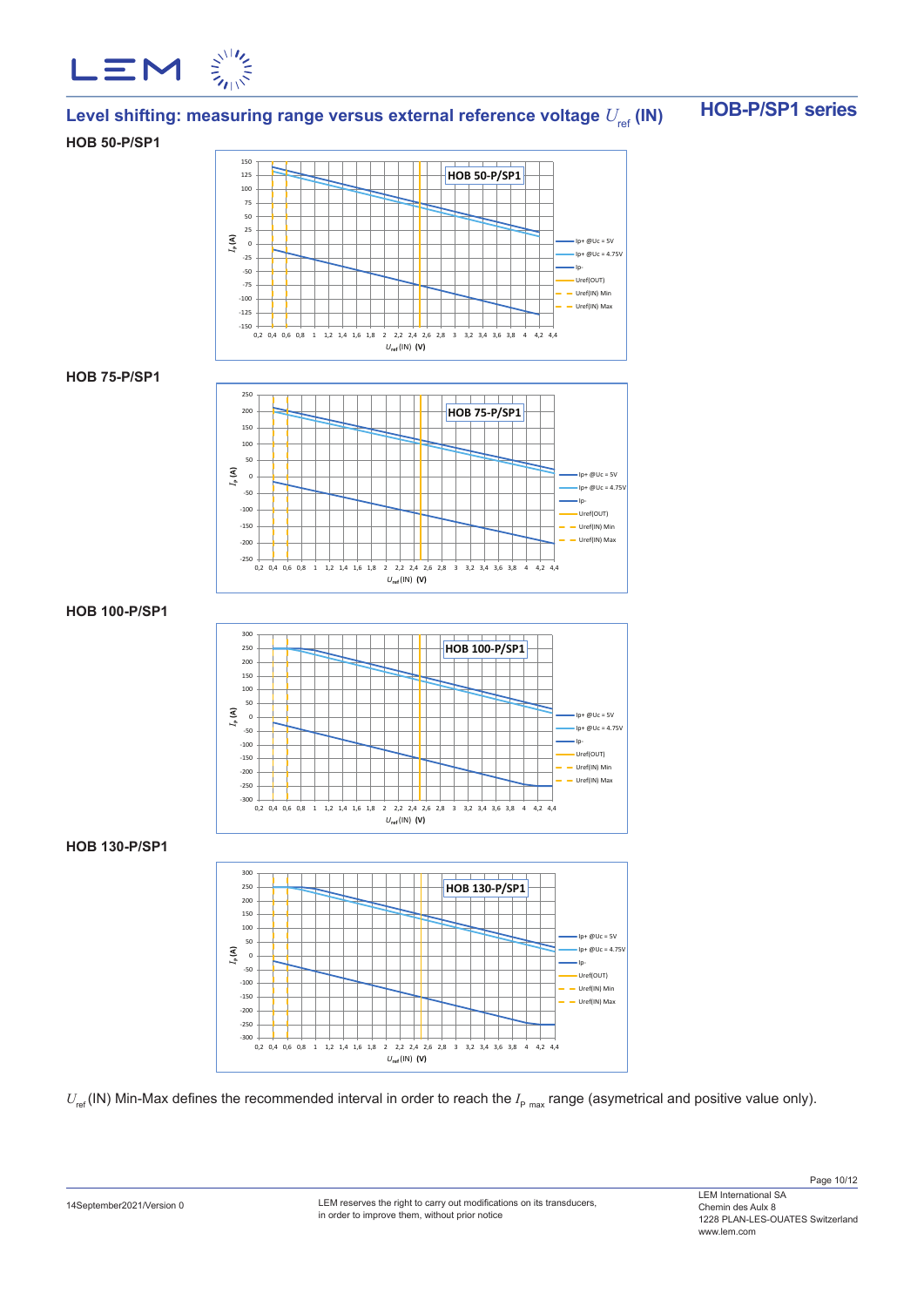

# Level shifting: measuring range versus external reference voltage  $U_{\text{ref}}$  (IN)  $\blacksquare$  HOB-P/SP1 series

### **HOB 50-P/SP1**



### **HOB 75-P/SP1**



## **HOB 100-P/SP1**



## **HOB 130-P/SP1**



 $U_{\text{ref}}$  (IN) Min-Max defines the recommended interval in order to reach the  $I_{\text{p}}$  <sub>max</sub> range (asymetrical and positive value only).

LEM reserves the right to carry out modifications on its transducers, in order to improve them, without prior notice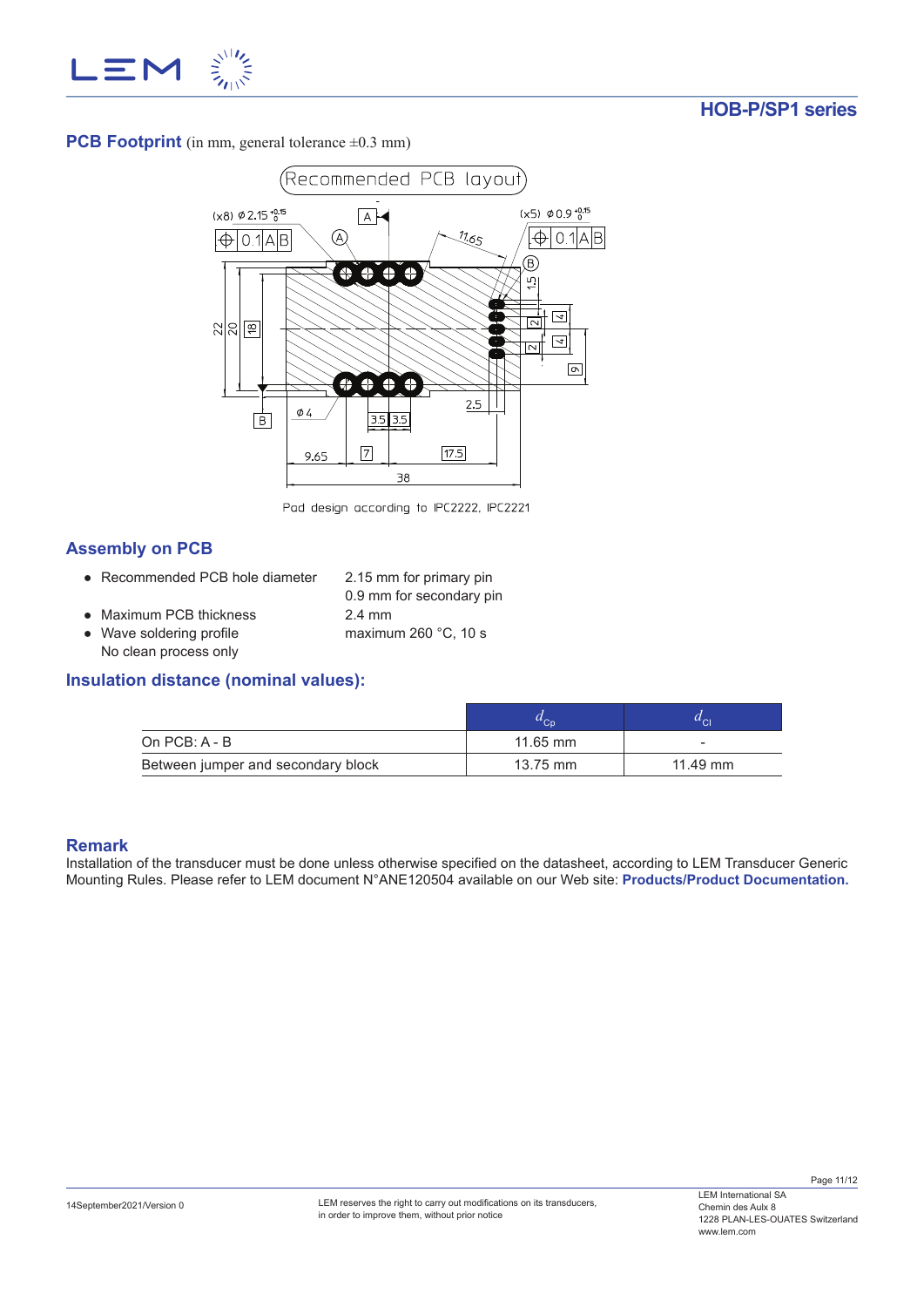

**PCB Footprint** (in mm, general tolerance  $\pm 0.3$  mm)



Pad design according to IPC2222, IPC2221

# **Assembly on PCB**

- Recommended PCB hole diameter 2.15 mm for primary pin
	- 0.9 mm for secondary pin
- Maximum PCB thickness 2.4 mm
- Wave soldering profile maximum 260 °C, 10 s No clean process only

## **Insulation distance (nominal values):**

|                                    |            | $^u$ Cl  |
|------------------------------------|------------|----------|
| On PCB: A - B                      | $11.65$ mm | -        |
| Between jumper and secondary block | 13.75 mm   | 11.49 mm |

## **Remark**

Installation of the transducer must be done unless otherwise specified on the datasheet, according to LEM Transducer Generic Mounting Rules. Please refer to LEM document N°ANE120504 available on our Web site: **Products/Product Documentation.**